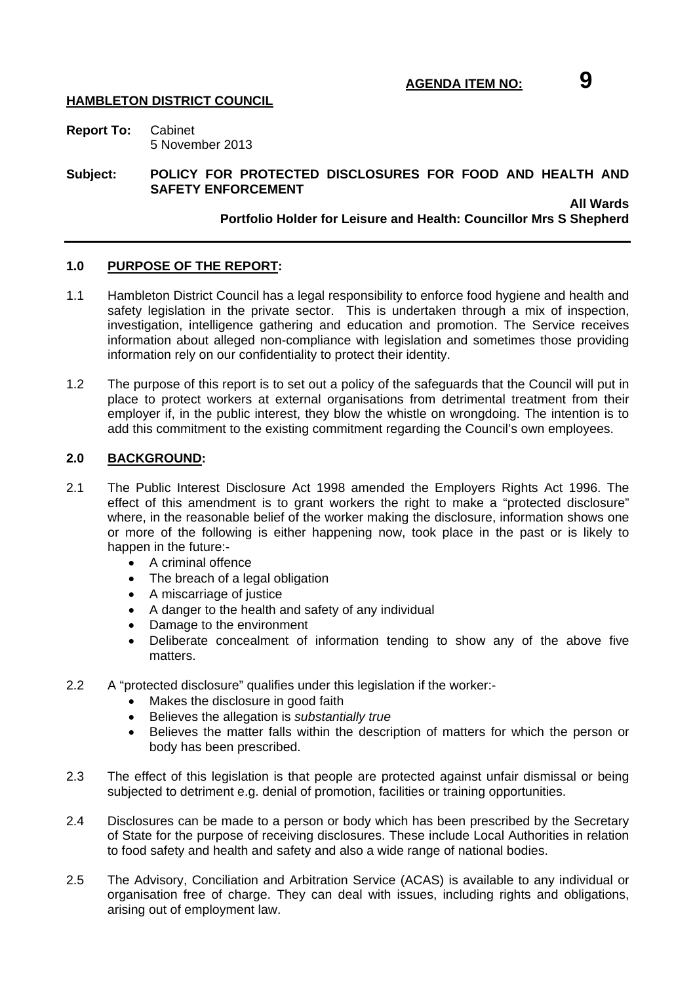**All Wards** 

**Report To:** Cabinet 5 November 2013

#### **Subject: POLICY FOR PROTECTED DISCLOSURES FOR FOOD AND HEALTH AND SAFETY ENFORCEMENT**

### **Portfolio Holder for Leisure and Health: Councillor Mrs S Shepherd**

#### **1.0 PURPOSE OF THE REPORT:**

- 1.1 Hambleton District Council has a legal responsibility to enforce food hygiene and health and safety legislation in the private sector. This is undertaken through a mix of inspection, investigation, intelligence gathering and education and promotion. The Service receives information about alleged non-compliance with legislation and sometimes those providing information rely on our confidentiality to protect their identity.
- 1.2 The purpose of this report is to set out a policy of the safeguards that the Council will put in place to protect workers at external organisations from detrimental treatment from their employer if, in the public interest, they blow the whistle on wrongdoing. The intention is to add this commitment to the existing commitment regarding the Council's own employees.

#### **2.0 BACKGROUND:**

- 2.1 The Public Interest Disclosure Act 1998 amended the Employers Rights Act 1996. The effect of this amendment is to grant workers the right to make a "protected disclosure" where, in the reasonable belief of the worker making the disclosure, information shows one or more of the following is either happening now, took place in the past or is likely to happen in the future:-
	- A criminal offence
	- The breach of a legal obligation
	- A miscarriage of justice
	- A danger to the health and safety of any individual
	- Damage to the environment
	- Deliberate concealment of information tending to show any of the above five matters.
- 2.2 A "protected disclosure" qualifies under this legislation if the worker:-
	- Makes the disclosure in good faith
	- Believes the allegation is *substantially true*
	- Believes the matter falls within the description of matters for which the person or body has been prescribed.
- 2.3 The effect of this legislation is that people are protected against unfair dismissal or being subjected to detriment e.g. denial of promotion, facilities or training opportunities.
- 2.4 Disclosures can be made to a person or body which has been prescribed by the Secretary of State for the purpose of receiving disclosures. These include Local Authorities in relation to food safety and health and safety and also a wide range of national bodies.
- 2.5 The Advisory, Conciliation and Arbitration Service (ACAS) is available to any individual or organisation free of charge. They can deal with issues, including rights and obligations, arising out of employment law.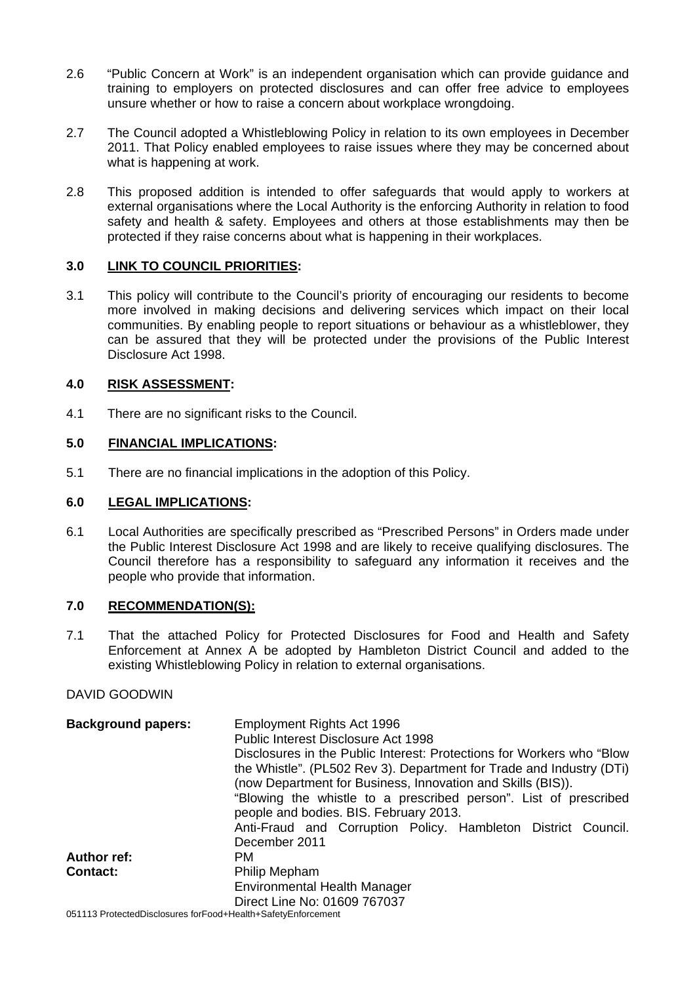- 2.6 "Public Concern at Work" is an independent organisation which can provide guidance and training to employers on protected disclosures and can offer free advice to employees unsure whether or how to raise a concern about workplace wrongdoing.
- 2.7 The Council adopted a Whistleblowing Policy in relation to its own employees in December 2011. That Policy enabled employees to raise issues where they may be concerned about what is happening at work.
- 2.8 This proposed addition is intended to offer safeguards that would apply to workers at external organisations where the Local Authority is the enforcing Authority in relation to food safety and health & safety. Employees and others at those establishments may then be protected if they raise concerns about what is happening in their workplaces.

### **3.0 LINK TO COUNCIL PRIORITIES:**

3.1 This policy will contribute to the Council's priority of encouraging our residents to become more involved in making decisions and delivering services which impact on their local communities. By enabling people to report situations or behaviour as a whistleblower, they can be assured that they will be protected under the provisions of the Public Interest Disclosure Act 1998.

## **4.0 RISK ASSESSMENT:**

4.1 There are no significant risks to the Council.

## **5.0 FINANCIAL IMPLICATIONS:**

5.1 There are no financial implications in the adoption of this Policy.

### **6.0 LEGAL IMPLICATIONS:**

6.1 Local Authorities are specifically prescribed as "Prescribed Persons" in Orders made under the Public Interest Disclosure Act 1998 and are likely to receive qualifying disclosures. The Council therefore has a responsibility to safeguard any information it receives and the people who provide that information.

### **7.0 RECOMMENDATION(S):**

7.1 That the attached Policy for Protected Disclosures for Food and Health and Safety Enforcement at Annex A be adopted by Hambleton District Council and added to the existing Whistleblowing Policy in relation to external organisations.

### DAVID GOODWIN

| <b>Background papers:</b>                                                                                                                                                                                                                                                                                                                                                             | Employment Rights Act 1996<br>Public Interest Disclosure Act 1998<br>Disclosures in the Public Interest: Protections for Workers who "Blow<br>the Whistle". (PL502 Rev 3). Department for Trade and Industry (DTi)<br>(now Department for Business, Innovation and Skills (BIS)).<br>"Blowing the whistle to a prescribed person". List of prescribed<br>people and bodies. BIS. February 2013.<br>Anti-Fraud and Corruption Policy. Hambleton District Council.<br>December 2011 |
|---------------------------------------------------------------------------------------------------------------------------------------------------------------------------------------------------------------------------------------------------------------------------------------------------------------------------------------------------------------------------------------|-----------------------------------------------------------------------------------------------------------------------------------------------------------------------------------------------------------------------------------------------------------------------------------------------------------------------------------------------------------------------------------------------------------------------------------------------------------------------------------|
| <b>Author ref:</b>                                                                                                                                                                                                                                                                                                                                                                    | PM.                                                                                                                                                                                                                                                                                                                                                                                                                                                                               |
| Contact:                                                                                                                                                                                                                                                                                                                                                                              | Philip Mepham                                                                                                                                                                                                                                                                                                                                                                                                                                                                     |
|                                                                                                                                                                                                                                                                                                                                                                                       | <b>Environmental Health Manager</b>                                                                                                                                                                                                                                                                                                                                                                                                                                               |
| $\overline{\mathsf{O}}$ , and $\overline{\mathsf{O}}$ , and $\overline{\mathsf{O}}$ , and $\overline{\mathsf{O}}$ , and $\overline{\mathsf{O}}$ , and $\overline{\mathsf{O}}$ , and $\overline{\mathsf{O}}$ , and $\overline{\mathsf{O}}$ , and $\overline{\mathsf{O}}$ , and $\overline{\mathsf{O}}$ , and $\overline{\mathsf{O}}$ , and $\overline{\mathsf{O}}$ , and $\overline{\$ | Direct Line No: 01609 767037                                                                                                                                                                                                                                                                                                                                                                                                                                                      |

051113 ProtectedDisclosures forFood+Health+SafetyEnforcement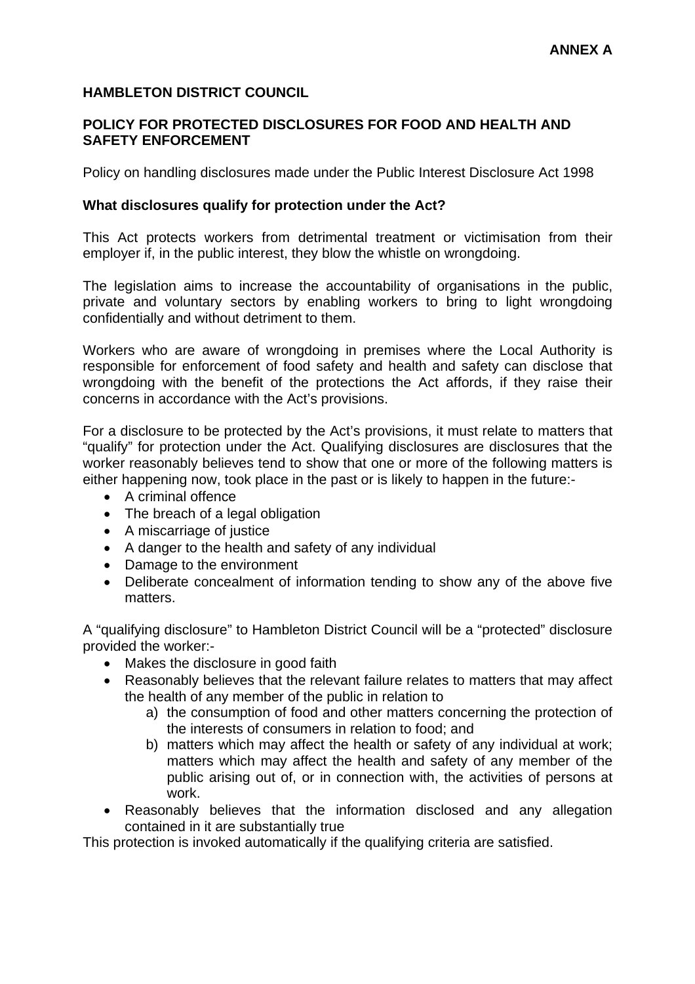# **HAMBLETON DISTRICT COUNCIL**

# **POLICY FOR PROTECTED DISCLOSURES FOR FOOD AND HEALTH AND SAFETY ENFORCEMENT**

Policy on handling disclosures made under the Public Interest Disclosure Act 1998

# **What disclosures qualify for protection under the Act?**

This Act protects workers from detrimental treatment or victimisation from their employer if, in the public interest, they blow the whistle on wrongdoing.

The legislation aims to increase the accountability of organisations in the public, private and voluntary sectors by enabling workers to bring to light wrongdoing confidentially and without detriment to them.

Workers who are aware of wrongdoing in premises where the Local Authority is responsible for enforcement of food safety and health and safety can disclose that wrongdoing with the benefit of the protections the Act affords, if they raise their concerns in accordance with the Act's provisions.

For a disclosure to be protected by the Act's provisions, it must relate to matters that "qualify" for protection under the Act. Qualifying disclosures are disclosures that the worker reasonably believes tend to show that one or more of the following matters is either happening now, took place in the past or is likely to happen in the future:-

- A criminal offence
- The breach of a legal obligation
- A miscarriage of justice
- A danger to the health and safety of any individual
- Damage to the environment
- Deliberate concealment of information tending to show any of the above five matters.

A "qualifying disclosure" to Hambleton District Council will be a "protected" disclosure provided the worker:-

- Makes the disclosure in good faith
- Reasonably believes that the relevant failure relates to matters that may affect the health of any member of the public in relation to
	- a) the consumption of food and other matters concerning the protection of the interests of consumers in relation to food; and
	- b) matters which may affect the health or safety of any individual at work; matters which may affect the health and safety of any member of the public arising out of, or in connection with, the activities of persons at work.
- Reasonably believes that the information disclosed and any allegation contained in it are substantially true

This protection is invoked automatically if the qualifying criteria are satisfied.